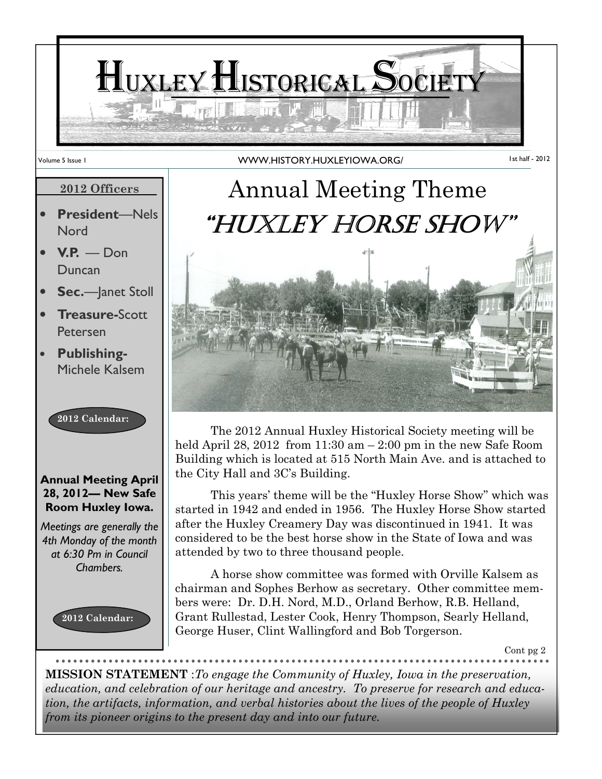

#### 2012 Officers

- President—Nels **Nord**
- $V.P. *Don*$ Duncan
- Sec.-lanet Stoll
- **Treasure-Scott** Petersen
- Publishing-Michele Kalsem

2012 Calendar:

#### Annual Meeting April 28, 2012— New Safe Room Huxley Iowa.

Meetings are generally the 4th Monday of the month at 6:30 Pm in Council Chambers.





 The 2012 Annual Huxley Historical Society meeting will be held April 28, 2012 from  $11:30$  am  $-2:00$  pm in the new Safe Room Building which is located at 515 North Main Ave. and is attached to the City Hall and 3C's Building.

 This years' theme will be the "Huxley Horse Show" which was started in 1942 and ended in 1956. The Huxley Horse Show started after the Huxley Creamery Day was discontinued in 1941. It was considered to be the best horse show in the State of Iowa and was attended by two to three thousand people.

 A horse show committee was formed with Orville Kalsem as chairman and Sophes Berhow as secretary. Other committee members were: Dr. D.H. Nord, M.D., Orland Berhow, R.B. Helland, Grant Rullestad, Lester Cook, Henry Thompson, Searly Helland, George Huser, Clint Wallingford and Bob Torgerson.

Cont pg 2

MISSION STATEMENT :To engage the Community of Huxley, Iowa in the preservation, education, and celebration of our heritage and ancestry. To preserve for research and education, the artifacts, information, and verbal histories about the lives of the people of Huxley from its pioneer origins to the present day and into our future.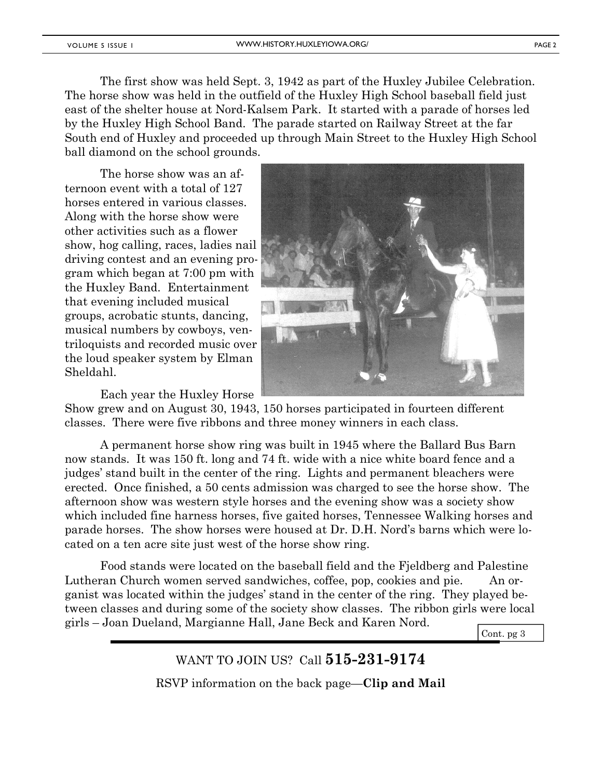The first show was held Sept. 3, 1942 as part of the Huxley Jubilee Celebration. The horse show was held in the outfield of the Huxley High School baseball field just east of the shelter house at Nord-Kalsem Park. It started with a parade of horses led by the Huxley High School Band. The parade started on Railway Street at the far South end of Huxley and proceeded up through Main Street to the Huxley High School ball diamond on the school grounds.

 The horse show was an afternoon event with a total of 127 horses entered in various classes. Along with the horse show were other activities such as a flower show, hog calling, races, ladies nail driving contest and an evening program which began at 7:00 pm with the Huxley Band. Entertainment that evening included musical groups, acrobatic stunts, dancing, musical numbers by cowboys, ventriloquists and recorded music over the loud speaker system by Elman Sheldahl.

Each year the Huxley Horse



Show grew and on August 30, 1943, 150 horses participated in fourteen different classes. There were five ribbons and three money winners in each class.

 A permanent horse show ring was built in 1945 where the Ballard Bus Barn now stands. It was 150 ft. long and 74 ft. wide with a nice white board fence and a judges' stand built in the center of the ring. Lights and permanent bleachers were erected. Once finished, a 50 cents admission was charged to see the horse show. The afternoon show was western style horses and the evening show was a society show which included fine harness horses, five gaited horses, Tennessee Walking horses and parade horses. The show horses were housed at Dr. D.H. Nord's barns which were located on a ten acre site just west of the horse show ring.

 Food stands were located on the baseball field and the Fjeldberg and Palestine Lutheran Church women served sandwiches, coffee, pop, cookies and pie. An organist was located within the judges' stand in the center of the ring. They played between classes and during some of the society show classes. The ribbon girls were local girls – Joan Dueland, Margianne Hall, Jane Beck and Karen Nord.

Cont. pg 3

WANT TO JOIN US? Call **515-231-9174** RSVP information on the back page—Clip and Mail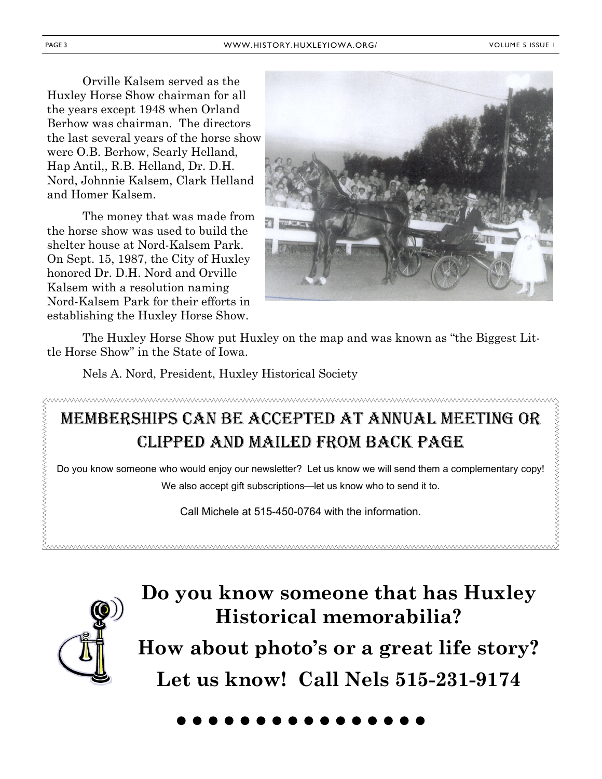Orville Kalsem served as the Huxley Horse Show chairman for all the years except 1948 when Orland Berhow was chairman. The directors the last several years of the horse show were O.B. Berhow, Searly Helland, Hap Antil,, R.B. Helland, Dr. D.H. Nord, Johnnie Kalsem, Clark Helland and Homer Kalsem.

 The money that was made from the horse show was used to build the shelter house at Nord-Kalsem Park. On Sept. 15, 1987, the City of Huxley honored Dr. D.H. Nord and Orville Kalsem with a resolution naming Nord-Kalsem Park for their efforts in establishing the Huxley Horse Show.



 The Huxley Horse Show put Huxley on the map and was known as "the Biggest Little Horse Show" in the State of Iowa.

Nels A. Nord, President, Huxley Historical Society

#### wwwwwwwwwwwwwwwwwwwwwwwwwww  $\vee$ </u> MEMBERSHIPS CAN BE ACCEPTED AT ANNUAL MEETING OR CLIPPED AND MAILED FROM BACK PAGE Do you know someone who would enjoy our newsletter? Let us know we will send them a complementary copy! We also accept gift subscriptions—let us know who to send it to.

Call Michele at 515-450-0764 with the information.



### Do you know someone that has Huxley Historical memorabilia?

How about photo's or a great life story? Let us know! Call Nels 515-231-9174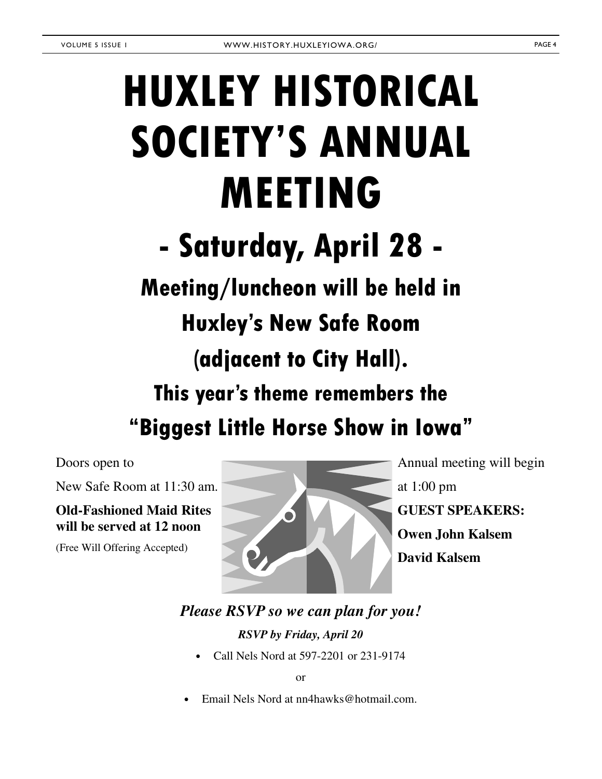# HUXLEY HISTORICAL SOCIETY'S ANNUAL MEETING

# - Saturday, April 28 -

## Meeting/luncheon will be held in

## Huxley's New Safe Room

## (adjacent to City Hall).

### This year's theme remembers the

"Biggest Little Horse Show in Iowa"

Doors open to

New Safe Room at 11:30 am.

**Old-Fashioned Maid Rites will be served at 12 noon** 

(Free Will Offering Accepted)



Annual meeting will begin at 1:00 pm **GUEST SPEAKERS: Owen John Kalsem David Kalsem** 

#### *Please RSVP so we can plan for you!*

*RSVP by Friday, April 20* 

• Call Nels Nord at 597-2201 or 231-9174

or

• Email Nels Nord at nn4hawks@hotmail.com.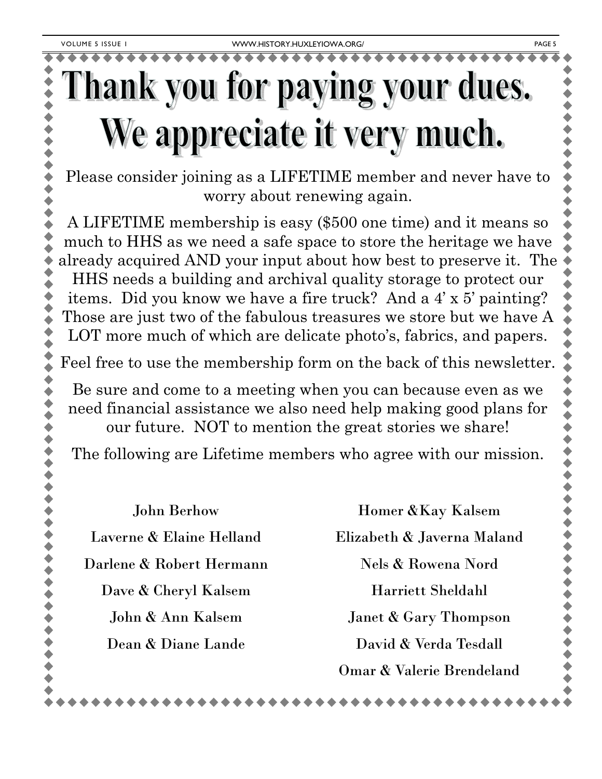# Thank you for paying your dues. We appreciate it very much.

Please consider joining as a LIFETIME member and never have to worry about renewing again.

A LIFETIME membership is easy (\$500 one time) and it means so much to HHS as we need a safe space to store the heritage we have already acquired AND your input about how best to preserve it. The HHS needs a building and archival quality storage to protect our items. Did you know we have a fire truck? And a 4' x 5' painting? Those are just two of the fabulous treasures we store but we have A LOT more much of which are delicate photo's, fabrics, and papers.

Feel free to use the membership form on the back of this newsletter.

Be sure and come to a meeting when you can because even as we need financial assistance we also need help making good plans for our future. NOT to mention the great stories we share!

The following are Lifetime members who agree with our mission.

John Berhow

Laverne & Elaine Helland

Darlene & Robert Hermann

Dave & Cheryl Kalsem

John & Ann Kalsem

Dean & Diane Lande

Homer &Kay Kalsem Elizabeth & Javerna Maland Nels & Rowena Nord Harriett Sheldahl Janet & Gary Thompson David & Verda Tesdall Omar & Valerie Brendeland